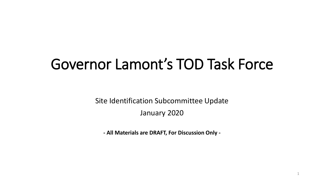# Governor Lamont's TOD Task Force

Site Identification Subcommittee Update

January 2020

**- All Materials are DRAFT, For Discussion Only -**

1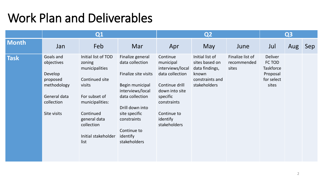### Work Plan and Deliverables

|              | Q1                                                                                                         |                                                                                                                                                                                           |                                                                                                                                                                                                                     | Q <sub>2</sub>                                                                                                                                                         |                                                                                                 |                                          | Q <sub>3</sub>                                                           |     |     |
|--------------|------------------------------------------------------------------------------------------------------------|-------------------------------------------------------------------------------------------------------------------------------------------------------------------------------------------|---------------------------------------------------------------------------------------------------------------------------------------------------------------------------------------------------------------------|------------------------------------------------------------------------------------------------------------------------------------------------------------------------|-------------------------------------------------------------------------------------------------|------------------------------------------|--------------------------------------------------------------------------|-----|-----|
| <b>Month</b> | Jan                                                                                                        | Feb                                                                                                                                                                                       | Mar                                                                                                                                                                                                                 | Apr                                                                                                                                                                    | May                                                                                             | June                                     | Jul                                                                      | Aug | Sep |
| <b>Task</b>  | Goals and<br>objectives<br>Develop<br>proposed<br>methodology<br>General data<br>collection<br>Site visits | Initial list of TOD<br>zoning<br>municipalities<br>Continued site<br>visits<br>For subset of<br>municipalities:<br>Continued<br>general data<br>collection<br>Initial stakeholder<br>list | Finalize general<br>data collection<br>Finalize site visits<br>Begin municipal<br>interviews/local<br>data collection<br>Drill down into<br>site specific<br>constraints<br>Continue to<br>identify<br>stakeholders | Continue<br>municipal<br>interviews/local<br>data collection<br>Continue drill<br>down into site<br>specific<br>constraints<br>Continue to<br>identify<br>stakeholders | Initial list of<br>sites based on<br>data findings,<br>known<br>constraints and<br>stakeholders | Finalize list of<br>recommended<br>sites | Deliver<br>FC TOD<br><b>Taskforce</b><br>Proposal<br>for select<br>sites |     |     |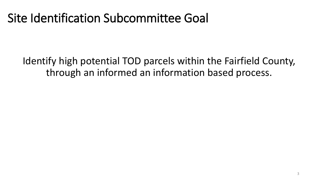### Site Identification Subcommittee Goal

Identify high potential TOD parcels within the Fairfield County, through an informed an information based process.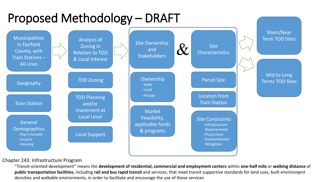# Proposed Methodology – DRAFT



#### Chapter 243: Infrastructure Program

"Transit-oriented development" means the **development of residential, commercial and employment centers** within **one-half mile** or **walking distance** of **public transportation facilities**, including **rail and bus rapid transit** and services, that meet transit supportive standards for land uses, built environment densities and walkable environments, in order to facilitate and encourage the use of those services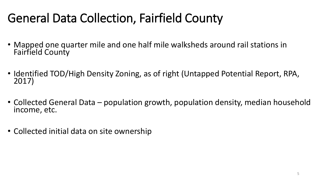# General Data Collection, Fairfield County

- Mapped one quarter mile and one half mile walksheds around rail stations in Fairfield County
- Identified TOD/High Density Zoning, as of right (Untapped Potential Report, RPA, 2017)
- Collected General Data population growth, population density, median household income, etc.
- Collected initial data on site ownership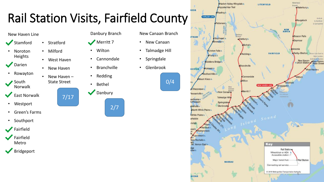

Amtruk

to Hartford

& Springfield

Shorp Line Fact to

tius Landar

New Haver

West Haven's

#### New Haven Line

- **Stamford**
- Noroton Heights
- **Darien**
- Rowayton
- South Norwalk
- **East Norwalk**
- **Westport**
- Green's Farms
- Southport



- **Fairfield** Metro
- **Bridgeport**